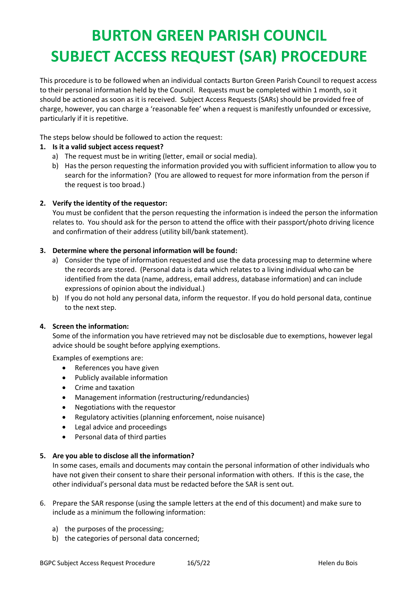# **BURTON GREEN PARISH COUNCIL SUBJECT ACCESS REQUEST (SAR) PROCEDURE**

This procedure is to be followed when an individual contacts Burton Green Parish Council to request access to their personal information held by the Council. Requests must be completed within 1 month, so it should be actioned as soon as it is received. Subject Access Requests (SARs) should be provided free of charge, however, you can charge a 'reasonable fee' when a request is manifestly unfounded or excessive, particularly if it is repetitive.

The steps below should be followed to action the request:

## **1. Is it a valid subject access request?**

- a) The request must be in writing (letter, email or social media).
- b) Has the person requesting the information provided you with sufficient information to allow you to search for the information? (You are allowed to request for more information from the person if the request is too broad.)

## **2. Verify the identity of the requestor:**

You must be confident that the person requesting the information is indeed the person the information relates to. You should ask for the person to attend the office with their passport/photo driving licence and confirmation of their address (utility bill/bank statement).

## **3. Determine where the personal information will be found:**

- a) Consider the type of information requested and use the data processing map to determine where the records are stored. (Personal data is data which relates to a living individual who can be identified from the data (name, address, email address, database information) and can include expressions of opinion about the individual.)
- b) If you do not hold any personal data, inform the requestor. If you do hold personal data, continue to the next step.

### **4. Screen the information:**

Some of the information you have retrieved may not be disclosable due to exemptions, however legal advice should be sought before applying exemptions.

Examples of exemptions are:

- References you have given
- Publicly available information
- Crime and taxation
- Management information (restructuring/redundancies)
- Negotiations with the requestor
- Regulatory activities (planning enforcement, noise nuisance)
- Legal advice and proceedings
- Personal data of third parties

### **5. Are you able to disclose all the information?**

In some cases, emails and documents may contain the personal information of other individuals who have not given their consent to share their personal information with others. If this is the case, the other individual's personal data must be redacted before the SAR is sent out.

- 6. Prepare the SAR response (using the sample letters at the end of this document) and make sure to include as a minimum the following information:
	- a) the purposes of the processing;
	- b) the categories of personal data concerned;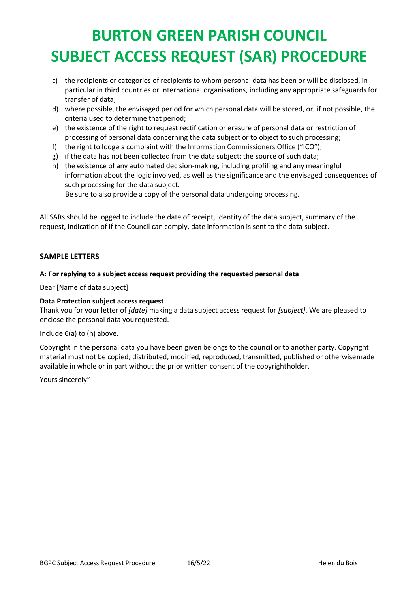# **BURTON GREEN PARISH COUNCIL SUBJECT ACCESS REQUEST (SAR) PROCEDURE**

- c) the recipients or categories of recipients to whom personal data has been or will be disclosed, in particular in third countries or international organisations, including any appropriate safeguards for transfer of data;
- d) where possible, the envisaged period for which personal data will be stored, or, if not possible, the criteria used to determine that period;
- e) the existence of the right to request rectification or erasure of personal data or restriction of processing of personal data concerning the data subject or to object to such processing;
- f) the right to lodge a complaint with the Information Commissioners Office ("ICO");
- g) if the data has not been collected from the data subject: the source of such data;
- h) the existence of any automated decision-making, including profiling and any meaningful information about the logic involved, as well as the significance and the envisaged consequences of such processing for the data subject.

Be sure to also provide a copy of the personal data undergoing processing.

All SARs should be logged to include the date of receipt, identity of the data subject, summary of the request, indication of if the Council can comply, date information is sent to the data subject.

## **SAMPLE LETTERS**

## **A: For replying to a subject access request providing the requested personal data**

Dear [Name of data subject]

### **Data Protection subject access request**

Thank you for your letter of *[date]* making a data subject access request for *[subject]*. We are pleased to enclose the personal data yourequested.

### Include 6(a) to (h) above.

Copyright in the personal data you have been given belongs to the council or to another party. Copyright material must not be copied, distributed, modified, reproduced, transmitted, published or otherwisemade available in whole or in part without the prior written consent of the copyrightholder.

Yours sincerely"